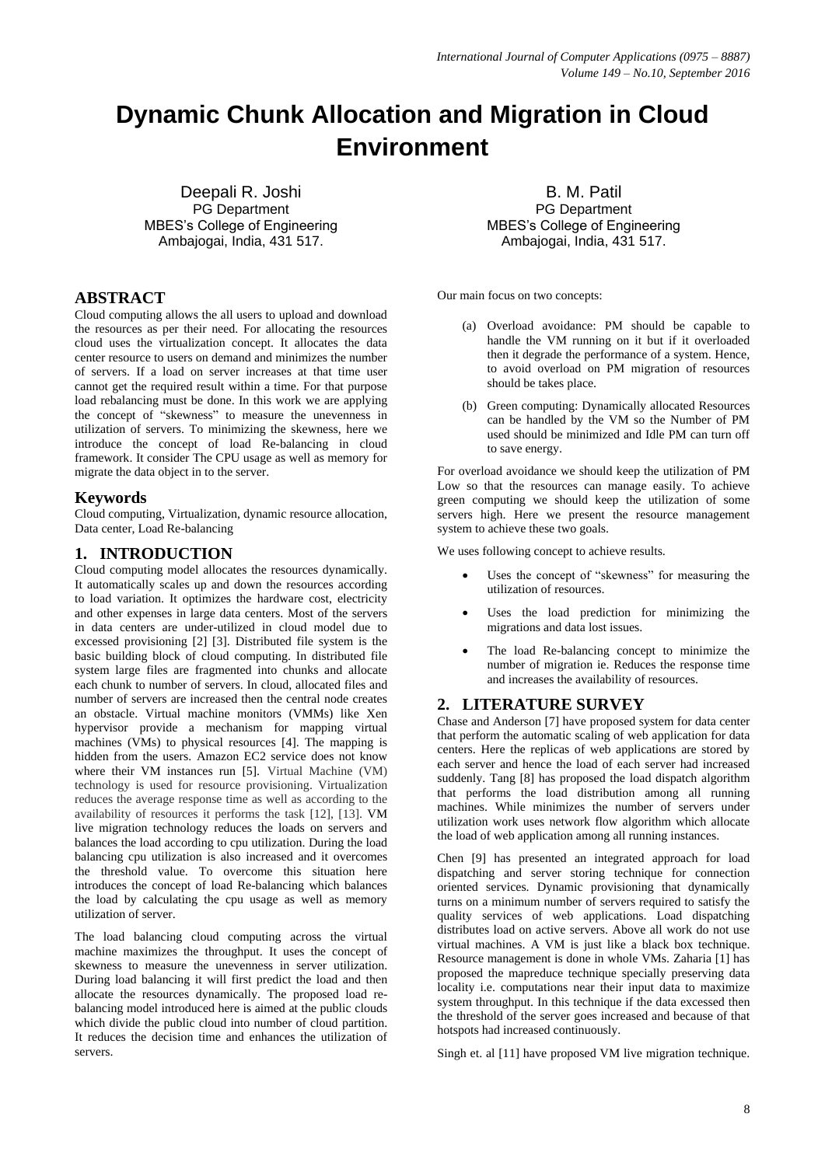# **Dynamic Chunk Allocation and Migration in Cloud Environment**

Deepali R. Joshi PG Department MBES's College of Engineering Ambajogai, India, 431 517.

# **ABSTRACT**

Cloud computing allows the all users to upload and download the resources as per their need. For allocating the resources cloud uses the virtualization concept. It allocates the data center resource to users on demand and minimizes the number of servers. If a load on server increases at that time user cannot get the required result within a time. For that purpose load rebalancing must be done. In this work we are applying the concept of "skewness" to measure the unevenness in utilization of servers. To minimizing the skewness, here we introduce the concept of load Re-balancing in cloud framework. It consider The CPU usage as well as memory for migrate the data object in to the server.

# **Keywords**

Cloud computing, Virtualization, dynamic resource allocation, Data center, Load Re-balancing

# **1. INTRODUCTION**

Cloud computing model allocates the resources dynamically. It automatically scales up and down the resources according to load variation. It optimizes the hardware cost, electricity and other expenses in large data centers. Most of the servers in data centers are under-utilized in cloud model due to excessed provisioning [2] [3]. Distributed file system is the basic building block of cloud computing. In distributed file system large files are fragmented into chunks and allocate each chunk to number of servers. In cloud, allocated files and number of servers are increased then the central node creates an obstacle. Virtual machine monitors (VMMs) like Xen hypervisor provide a mechanism for mapping virtual machines (VMs) to physical resources [4]. The mapping is hidden from the users. Amazon EC2 service does not know where their VM instances run [5]. Virtual Machine (VM) technology is used for resource provisioning. Virtualization reduces the average response time as well as according to the availability of resources it performs the task [12], [13]. VM live migration technology reduces the loads on servers and balances the load according to cpu utilization. During the load balancing cpu utilization is also increased and it overcomes the threshold value. To overcome this situation here introduces the concept of load Re-balancing which balances the load by calculating the cpu usage as well as memory utilization of server.

The load balancing cloud computing across the virtual machine maximizes the throughput. It uses the concept of skewness to measure the unevenness in server utilization. During load balancing it will first predict the load and then allocate the resources dynamically. The proposed load rebalancing model introduced here is aimed at the public clouds which divide the public cloud into number of cloud partition. It reduces the decision time and enhances the utilization of servers.

B. M. Patil PG Department MBES's College of Engineering Ambajogai, India, 431 517.

Our main focus on two concepts:

- (a) Overload avoidance: PM should be capable to handle the VM running on it but if it overloaded then it degrade the performance of a system. Hence, to avoid overload on PM migration of resources should be takes place.
- (b) Green computing: Dynamically allocated Resources can be handled by the VM so the Number of PM used should be minimized and Idle PM can turn off to save energy.

For overload avoidance we should keep the utilization of PM Low so that the resources can manage easily. To achieve green computing we should keep the utilization of some servers high. Here we present the resource management system to achieve these two goals.

We uses following concept to achieve results.

- Uses the concept of "skewness" for measuring the utilization of resources.
- Uses the load prediction for minimizing the migrations and data lost issues.
- The load Re-balancing concept to minimize the number of migration ie. Reduces the response time and increases the availability of resources.

# **2. LITERATURE SURVEY**

Chase and Anderson [7] have proposed system for data center that perform the automatic scaling of web application for data centers. Here the replicas of web applications are stored by each server and hence the load of each server had increased suddenly. Tang [8] has proposed the load dispatch algorithm that performs the load distribution among all running machines. While minimizes the number of servers under utilization work uses network flow algorithm which allocate the load of web application among all running instances.

Chen [9] has presented an integrated approach for load dispatching and server storing technique for connection oriented services. Dynamic provisioning that dynamically turns on a minimum number of servers required to satisfy the quality services of web applications. Load dispatching distributes load on active servers. Above all work do not use virtual machines. A VM is just like a black box technique. Resource management is done in whole VMs. Zaharia [1] has proposed the mapreduce technique specially preserving data locality i.e. computations near their input data to maximize system throughput. In this technique if the data excessed then the threshold of the server goes increased and because of that hotspots had increased continuously.

Singh et. al [11] have proposed VM live migration technique.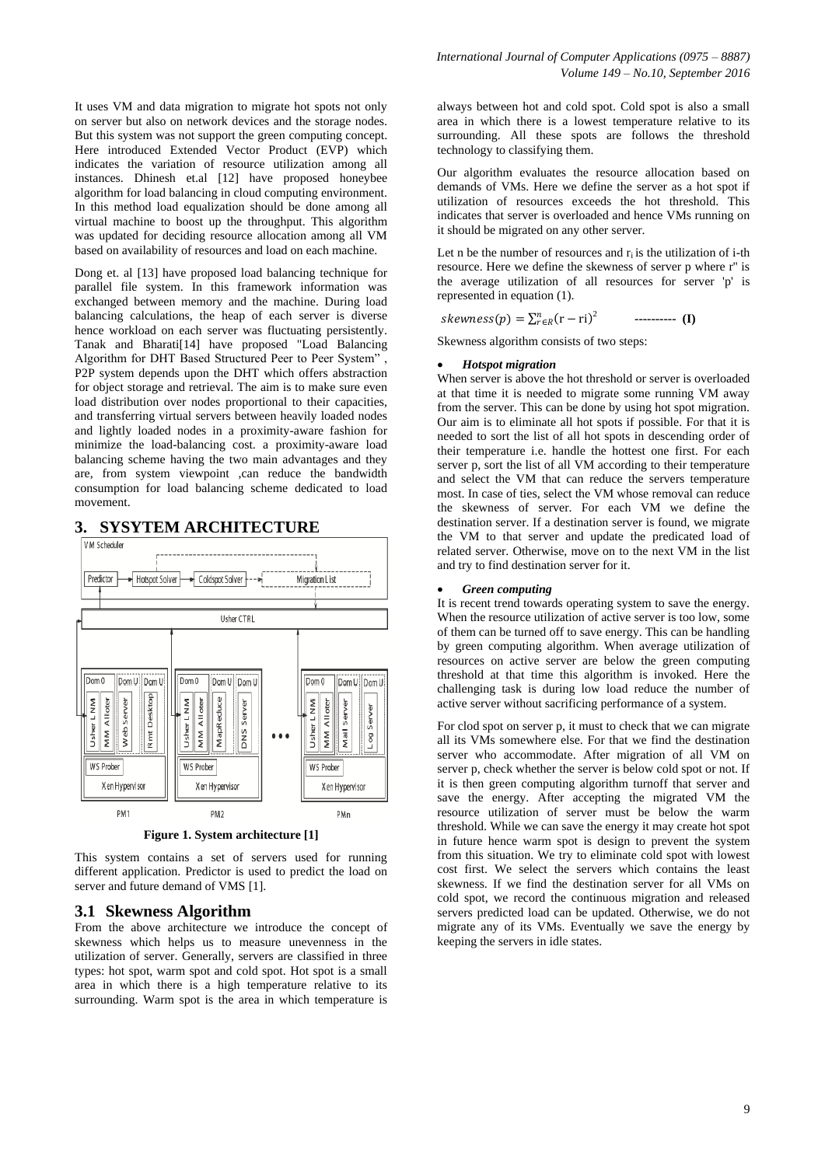It uses VM and data migration to migrate hot spots not only on server but also on network devices and the storage nodes. But this system was not support the green computing concept. Here introduced Extended Vector Product (EVP) which indicates the variation of resource utilization among all instances. Dhinesh et.al [12] have proposed honeybee algorithm for load balancing in cloud computing environment. In this method load equalization should be done among all virtual machine to boost up the throughput. This algorithm was updated for deciding resource allocation among all VM based on availability of resources and load on each machine.

Dong et. al [13] have proposed load balancing technique for parallel file system. In this framework information was exchanged between memory and the machine. During load balancing calculations, the heap of each server is diverse hence workload on each server was fluctuating persistently. Tanak and Bharati[14] have proposed "Load Balancing Algorithm for DHT Based Structured Peer to Peer System" , P2P system depends upon the DHT which offers abstraction for object storage and retrieval. The aim is to make sure even load distribution over nodes proportional to their capacities, and transferring virtual servers between heavily loaded nodes and lightly loaded nodes in a proximity-aware fashion for minimize the load-balancing cost. a proximity-aware load balancing scheme having the two main advantages and they are, from system viewpoint ,can reduce the bandwidth consumption for load balancing scheme dedicated to load movement.



**Figure 1. System architecture [1]**

This system contains a set of servers used for running different application. Predictor is used to predict the load on server and future demand of VMS [1].

# **3.1 Skewness Algorithm**

From the above architecture we introduce the concept of skewness which helps us to measure unevenness in the utilization of server. Generally, servers are classified in three types: hot spot, warm spot and cold spot. Hot spot is a small area in which there is a high temperature relative to its surrounding. Warm spot is the area in which temperature is

always between hot and cold spot. Cold spot is also a small area in which there is a lowest temperature relative to its surrounding. All these spots are follows the threshold technology to classifying them.

Our algorithm evaluates the resource allocation based on demands of VMs. Here we define the server as a hot spot if utilization of resources exceeds the hot threshold. This indicates that server is overloaded and hence VMs running on it should be migrated on any other server.

Let n be the number of resources and  $r_i$  is the utilization of i-th resource. Here we define the skewness of server p where r'' is the average utilization of all resources for server 'p' is represented in equation (1).

skewness(p) =  $\sum_{r \in R}^{n} (r - ri)^2$ **---------- (I)**

Skewness algorithm consists of two steps:

#### *Hotspot migration*

When server is above the hot threshold or server is overloaded at that time it is needed to migrate some running VM away from the server. This can be done by using hot spot migration. Our aim is to eliminate all hot spots if possible. For that it is needed to sort the list of all hot spots in descending order of their temperature i.e. handle the hottest one first. For each server p, sort the list of all VM according to their temperature and select the VM that can reduce the servers temperature most. In case of ties, select the VM whose removal can reduce the skewness of server. For each VM we define the destination server. If a destination server is found, we migrate the VM to that server and update the predicated load of related server. Otherwise, move on to the next VM in the list and try to find destination server for it.

## *Green computing*

It is recent trend towards operating system to save the energy. When the resource utilization of active server is too low, some of them can be turned off to save energy. This can be handling by green computing algorithm. When average utilization of resources on active server are below the green computing threshold at that time this algorithm is invoked. Here the challenging task is during low load reduce the number of active server without sacrificing performance of a system.

For clod spot on server p, it must to check that we can migrate all its VMs somewhere else. For that we find the destination server who accommodate. After migration of all VM on server p, check whether the server is below cold spot or not. If it is then green computing algorithm turnoff that server and save the energy. After accepting the migrated VM the resource utilization of server must be below the warm threshold. While we can save the energy it may create hot spot in future hence warm spot is design to prevent the system from this situation. We try to eliminate cold spot with lowest cost first. We select the servers which contains the least skewness. If we find the destination server for all VMs on cold spot, we record the continuous migration and released servers predicted load can be updated. Otherwise, we do not migrate any of its VMs. Eventually we save the energy by keeping the servers in idle states.

# **3. SYSYTEM ARCHITECTURE**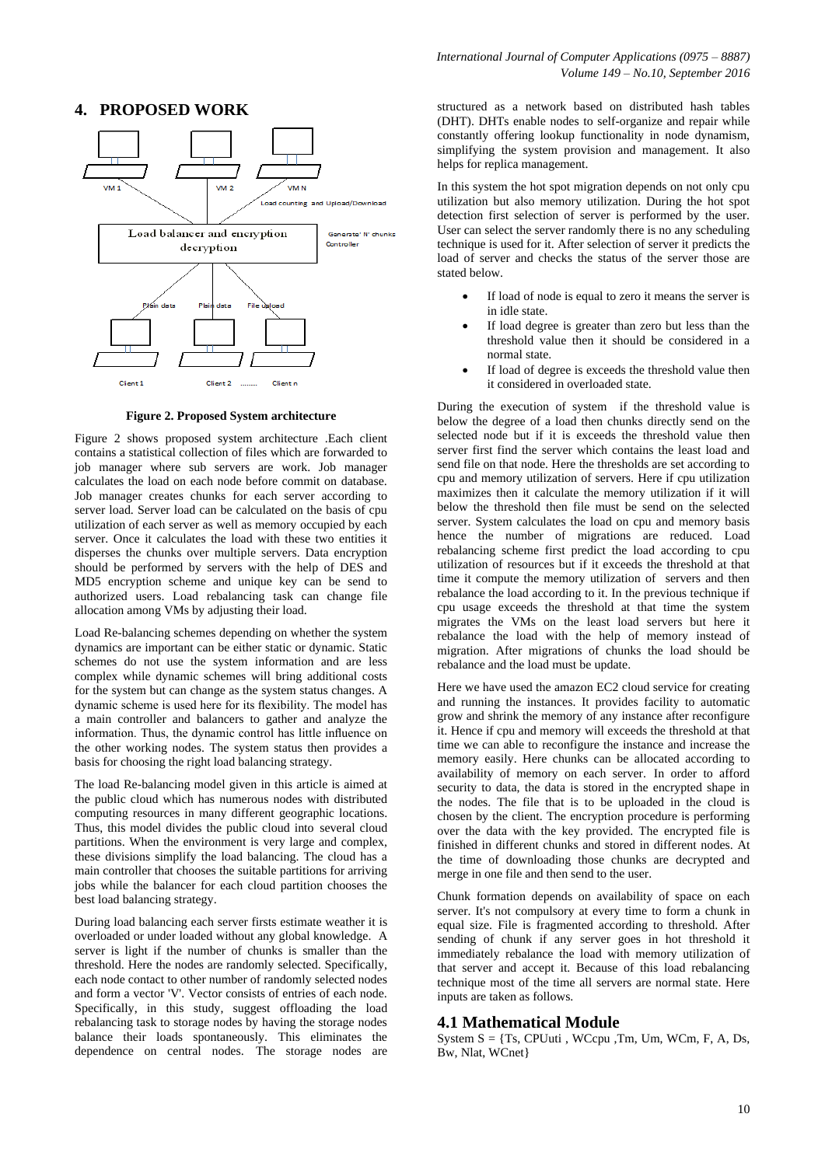# **4. PROPOSED WORK**



**Figure 2. Proposed System architecture**

Figure 2 shows proposed system architecture .Each client contains a statistical collection of files which are forwarded to job manager where sub servers are work. Job manager calculates the load on each node before commit on database. Job manager creates chunks for each server according to server load. Server load can be calculated on the basis of cpu utilization of each server as well as memory occupied by each server. Once it calculates the load with these two entities it disperses the chunks over multiple servers. Data encryption should be performed by servers with the help of DES and MD5 encryption scheme and unique key can be send to authorized users. Load rebalancing task can change file allocation among VMs by adjusting their load.

Load Re-balancing schemes depending on whether the system dynamics are important can be either static or dynamic. Static schemes do not use the system information and are less complex while dynamic schemes will bring additional costs for the system but can change as the system status changes. A dynamic scheme is used here for its flexibility. The model has a main controller and balancers to gather and analyze the information. Thus, the dynamic control has little influence on the other working nodes. The system status then provides a basis for choosing the right load balancing strategy.

The load Re-balancing model given in this article is aimed at the public cloud which has numerous nodes with distributed computing resources in many different geographic locations. Thus, this model divides the public cloud into several cloud partitions. When the environment is very large and complex, these divisions simplify the load balancing. The cloud has a main controller that chooses the suitable partitions for arriving jobs while the balancer for each cloud partition chooses the best load balancing strategy.

During load balancing each server firsts estimate weather it is overloaded or under loaded without any global knowledge. A server is light if the number of chunks is smaller than the threshold. Here the nodes are randomly selected. Specifically, each node contact to other number of randomly selected nodes and form a vector 'V'. Vector consists of entries of each node. Specifically, in this study, suggest offloading the load rebalancing task to storage nodes by having the storage nodes balance their loads spontaneously. This eliminates the dependence on central nodes. The storage nodes are

structured as a network based on distributed hash tables (DHT). DHTs enable nodes to self-organize and repair while constantly offering lookup functionality in node dynamism, simplifying the system provision and management. It also helps for replica management.

In this system the hot spot migration depends on not only cpu utilization but also memory utilization. During the hot spot detection first selection of server is performed by the user. User can select the server randomly there is no any scheduling technique is used for it. After selection of server it predicts the load of server and checks the status of the server those are stated below.

- If load of node is equal to zero it means the server is in idle state.
- If load degree is greater than zero but less than the threshold value then it should be considered in a normal state.
- If load of degree is exceeds the threshold value then it considered in overloaded state.

During the execution of system if the threshold value is below the degree of a load then chunks directly send on the selected node but if it is exceeds the threshold value then server first find the server which contains the least load and send file on that node. Here the thresholds are set according to cpu and memory utilization of servers. Here if cpu utilization maximizes then it calculate the memory utilization if it will below the threshold then file must be send on the selected server. System calculates the load on cpu and memory basis hence the number of migrations are reduced. Load rebalancing scheme first predict the load according to cpu utilization of resources but if it exceeds the threshold at that time it compute the memory utilization of servers and then rebalance the load according to it. In the previous technique if cpu usage exceeds the threshold at that time the system migrates the VMs on the least load servers but here it rebalance the load with the help of memory instead of migration. After migrations of chunks the load should be rebalance and the load must be update.

Here we have used the amazon EC2 cloud service for creating and running the instances. It provides facility to automatic grow and shrink the memory of any instance after reconfigure it. Hence if cpu and memory will exceeds the threshold at that time we can able to reconfigure the instance and increase the memory easily. Here chunks can be allocated according to availability of memory on each server. In order to afford security to data, the data is stored in the encrypted shape in the nodes. The file that is to be uploaded in the cloud is chosen by the client. The encryption procedure is performing over the data with the key provided. The encrypted file is finished in different chunks and stored in different nodes. At the time of downloading those chunks are decrypted and merge in one file and then send to the user.

Chunk formation depends on availability of space on each server. It's not compulsory at every time to form a chunk in equal size. File is fragmented according to threshold. After sending of chunk if any server goes in hot threshold it immediately rebalance the load with memory utilization of that server and accept it. Because of this load rebalancing technique most of the time all servers are normal state. Here inputs are taken as follows.

# **4.1 Mathematical Module**

System  $S = \{Ts, CPUuti, WCcpu, Tm, Um, WCm, F, A, Ds,$ Bw, Nlat, WCnet}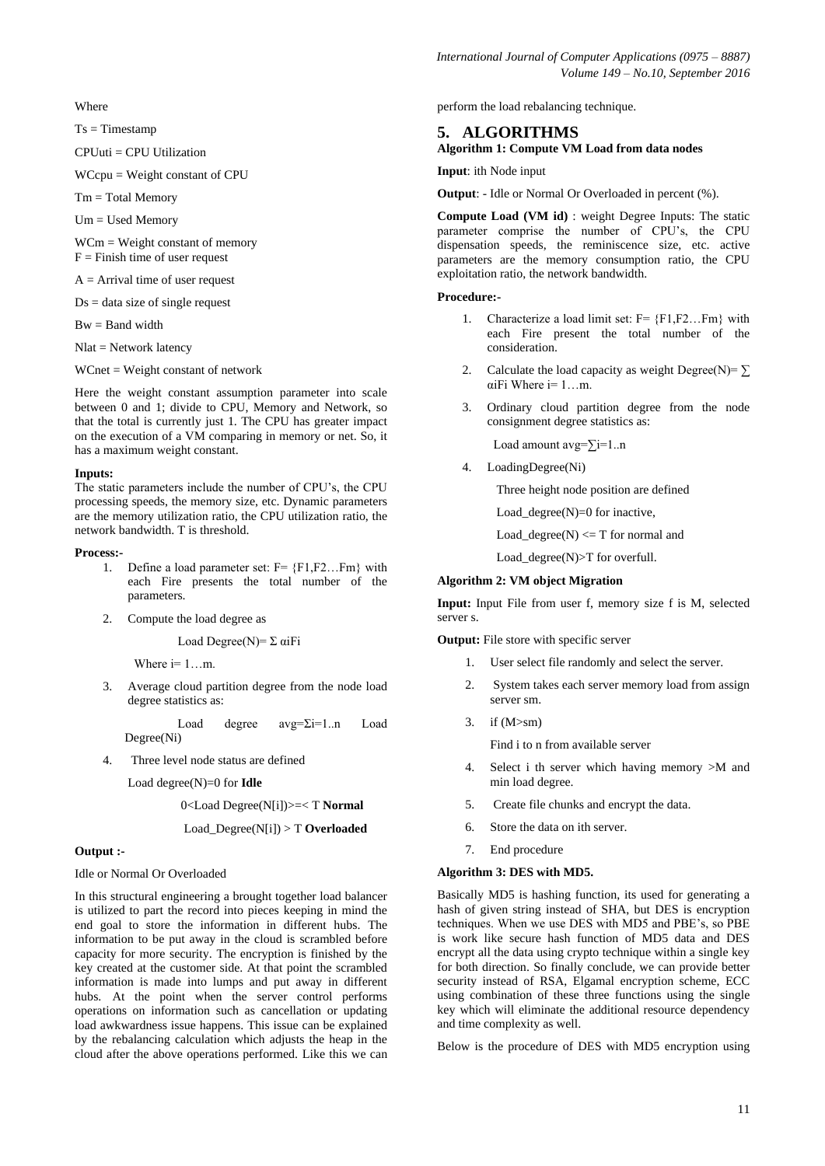**Where** 

 $Ts = Timestamp$ 

CPUuti = CPU Utilization

WCcpu = Weight constant of CPU

Tm = Total Memory

Um = Used Memory

WCm = Weight constant of memory  $F =$  Finish time of user request

 $A =$  Arrival time of user request

 $Ds = data size of single request$ 

Bw = Band width

Nlat = Network latency

WCnet = Weight constant of network

Here the weight constant assumption parameter into scale between 0 and 1; divide to CPU, Memory and Network, so that the total is currently just 1. The CPU has greater impact on the execution of a VM comparing in memory or net. So, it has a maximum weight constant.

#### **Inputs:**

The static parameters include the number of CPU's, the CPU processing speeds, the memory size, etc. Dynamic parameters are the memory utilization ratio, the CPU utilization ratio, the network bandwidth. T is threshold.

#### **Process:-**

- 1. Define a load parameter set:  $F = \{F1, F2, \dots Fm\}$  with each Fire presents the total number of the parameters.
- 2. Compute the load degree as

Load Degree(N) =  $\Sigma$  αiFi

Where  $i=1...m$ .

3. Average cloud partition degree from the node load degree statistics as:

Load degree avg=Σi=1..n Load Degree(Ni)

4. Three level node status are defined

Load degree(N)=0 for **Idle** 

0<Load Degree(N[i])>=< T **Normal** 

## Load\_Degree(N[i]) > T **Overloaded**

#### **Output :-**

#### Idle or Normal Or Overloaded

In this structural engineering a brought together load balancer is utilized to part the record into pieces keeping in mind the end goal to store the information in different hubs. The information to be put away in the cloud is scrambled before capacity for more security. The encryption is finished by the key created at the customer side. At that point the scrambled information is made into lumps and put away in different hubs. At the point when the server control performs operations on information such as cancellation or updating load awkwardness issue happens. This issue can be explained by the rebalancing calculation which adjusts the heap in the cloud after the above operations performed. Like this we can perform the load rebalancing technique.

## **5. ALGORITHMS**

## **Algorithm 1: Compute VM Load from data nodes**

**Input**: ith Node input

**Output**: - Idle or Normal Or Overloaded in percent (%).

**Compute Load (VM id)** : weight Degree Inputs: The static parameter comprise the number of CPU's, the CPU dispensation speeds, the reminiscence size, etc. active parameters are the memory consumption ratio, the CPU exploitation ratio, the network bandwidth.

#### **Procedure:-**

- 1. Characterize a load limit set:  $F = \{F1, F2, \dots Fm\}$  with each Fire present the total number of the consideration.
- 2. Calculate the load capacity as weight Degree(N)=  $\Sigma$ αiFi Where i= 1…m.
- 3. Ordinary cloud partition degree from the node consignment degree statistics as:

Load amount avg=∑i=1..n

4. LoadingDegree(Ni)

Three height node position are defined

Load\_degree $(N)=0$  for inactive,

Load\_degree(N)  $\leq$  T for normal and

Load\_degree(N)>T for overfull.

## **Algorithm 2: VM object Migration**

**Input:** Input File from user f, memory size f is M, selected server s.

**Output:** File store with specific server

- 1. User select file randomly and select the server.
- 2. System takes each server memory load from assign server sm.
- 3. if (M>sm)

Find i to n from available server

- 4. Select i th server which having memory >M and min load degree.
- 5. Create file chunks and encrypt the data.
- 6. Store the data on ith server.
- 7. End procedure

#### **Algorithm 3: DES with MD5.**

Basically MD5 is hashing function, its used for generating a hash of given string instead of SHA, but DES is encryption techniques. When we use DES with MD5 and PBE's, so PBE is work like secure hash function of MD5 data and DES encrypt all the data using crypto technique within a single key for both direction. So finally conclude, we can provide better security instead of RSA, Elgamal encryption scheme, ECC using combination of these three functions using the single key which will eliminate the additional resource dependency and time complexity as well.

Below is the procedure of DES with MD5 encryption using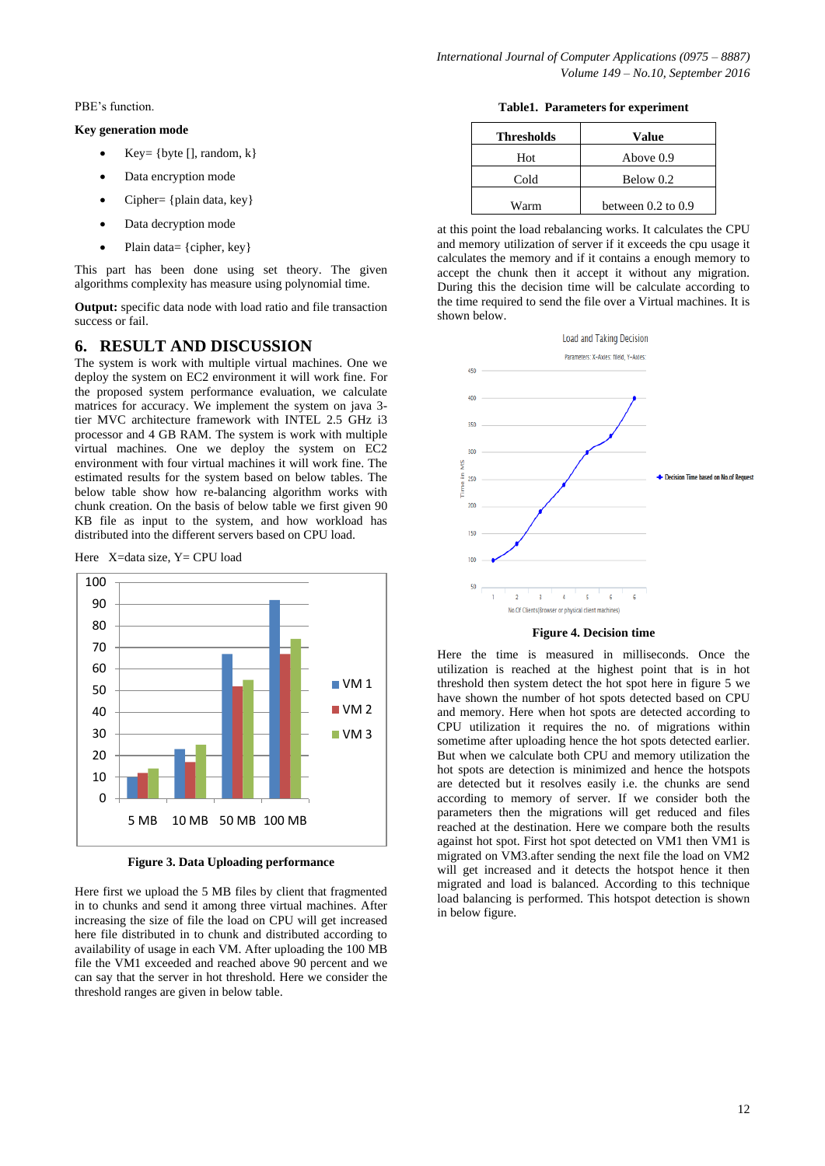PBE's function.

## **Key generation mode**

- $Key = \{byte[]$ , random,  $k\}$
- Data encryption mode
- Cipher= {plain data, key}
- Data decryption mode
- Plain data= {cipher, key}

This part has been done using set theory. The given algorithms complexity has measure using polynomial time.

**Output:** specific data node with load ratio and file transaction success or fail.

## **6. RESULT AND DISCUSSION**

The system is work with multiple virtual machines. One we deploy the system on EC2 environment it will work fine. For the proposed system performance evaluation, we calculate matrices for accuracy. We implement the system on java 3 tier MVC architecture framework with INTEL 2.5 GHz i3 processor and 4 GB RAM. The system is work with multiple virtual machines. One we deploy the system on EC2 environment with four virtual machines it will work fine. The estimated results for the system based on below tables. The below table show how re-balancing algorithm works with chunk creation. On the basis of below table we first given 90 KB file as input to the system, and how workload has distributed into the different servers based on CPU load.

Here X=data size, Y= CPU load



**Figure 3. Data Uploading performance**

Here first we upload the 5 MB files by client that fragmented in to chunks and send it among three virtual machines. After increasing the size of file the load on CPU will get increased here file distributed in to chunk and distributed according to availability of usage in each VM. After uploading the 100 MB file the VM1 exceeded and reached above 90 percent and we can say that the server in hot threshold. Here we consider the threshold ranges are given in below table.

**Table1. Parameters for experiment**

| <b>Thresholds</b> | Value                  |
|-------------------|------------------------|
| Hot               | Above 0.9              |
| Cold              | Below 0.2              |
| Warm              | between $0.2$ to $0.9$ |

at this point the load rebalancing works. It calculates the CPU and memory utilization of server if it exceeds the cpu usage it calculates the memory and if it contains a enough memory to accept the chunk then it accept it without any migration. During this the decision time will be calculate according to the time required to send the file over a Virtual machines. It is shown below.



**Figure 4. Decision time**

Here the time is measured in milliseconds. Once the utilization is reached at the highest point that is in hot threshold then system detect the hot spot here in figure 5 we have shown the number of hot spots detected based on CPU and memory. Here when hot spots are detected according to CPU utilization it requires the no. of migrations within sometime after uploading hence the hot spots detected earlier. But when we calculate both CPU and memory utilization the hot spots are detection is minimized and hence the hotspots are detected but it resolves easily i.e. the chunks are send according to memory of server. If we consider both the parameters then the migrations will get reduced and files reached at the destination. Here we compare both the results against hot spot. First hot spot detected on VM1 then VM1 is migrated on VM3.after sending the next file the load on VM2 will get increased and it detects the hotspot hence it then migrated and load is balanced. According to this technique load balancing is performed. This hotspot detection is shown in below figure.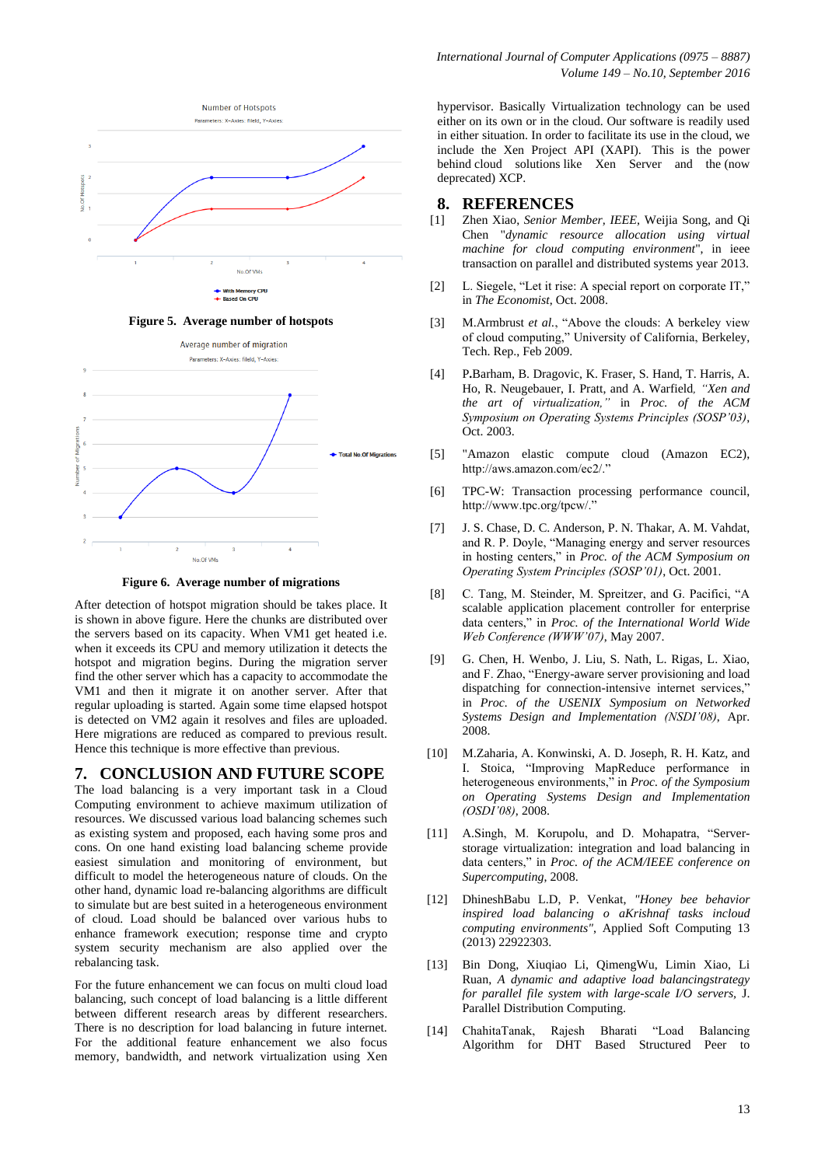

**Figure 5. Average number of hotspots**



**Figure 6. Average number of migrations**

After detection of hotspot migration should be takes place. It is shown in above figure. Here the chunks are distributed over the servers based on its capacity. When VM1 get heated i.e. when it exceeds its CPU and memory utilization it detects the hotspot and migration begins. During the migration server find the other server which has a capacity to accommodate the VM1 and then it migrate it on another server. After that regular uploading is started. Again some time elapsed hotspot is detected on VM2 again it resolves and files are uploaded. Here migrations are reduced as compared to previous result. Hence this technique is more effective than previous.

# **7. CONCLUSION AND FUTURE SCOPE**

The load balancing is a very important task in a Cloud Computing environment to achieve maximum utilization of resources. We discussed various load balancing schemes such as existing system and proposed, each having some pros and cons. On one hand existing load balancing scheme provide easiest simulation and monitoring of environment, but difficult to model the heterogeneous nature of clouds. On the other hand, dynamic load re-balancing algorithms are difficult to simulate but are best suited in a heterogeneous environment of cloud. Load should be balanced over various hubs to enhance framework execution; response time and crypto system security mechanism are also applied over the rebalancing task.

For the future enhancement we can focus on multi cloud load balancing, such concept of load balancing is a little different between different research areas by different researchers. There is no description for load balancing in future internet. For the additional feature enhancement we also focus memory, bandwidth, and network virtualization using Xen

hypervisor. Basically Virtualization technology can be used either on its own or in the cloud. Our software is readily used in either situation. In order to facilitate its use in the cloud, we include the Xen Project API (XAPI). This is the power behind cloud solutions like Xen Server and the (now deprecated) XCP.

## **8. REFERENCES**

- [1] Zhen Xiao, *Senior Member, IEEE,* Weijia Song, and Qi Chen "*dynamic resource allocation using virtual machine for cloud computing environment*", in ieee transaction on parallel and distributed systems year 2013.
- [2] L. Siegele, "Let it rise: A special report on corporate IT," in *The Economist*, Oct. 2008.
- [3] M.Armbrust *et al.*, "Above the clouds: A berkeley view of cloud computing," University of California, Berkeley, Tech. Rep., Feb 2009.
- [4] P**.**Barham, B. Dragovic, K. Fraser, S. Hand, T. Harris, A. Ho, R. Neugebauer, I. Pratt, and A. Warfield*, "Xen and the art of virtualization,"* in *Proc. of the ACM Symposium on Operating Systems Principles (SOSP'03)*, Oct. 2003.
- [5] "Amazon elastic compute cloud (Amazon EC2), http://aws.amazon.com/ec2/."
- [6] TPC-W: Transaction processing performance council, http://www.tpc.org/tpcw/."
- [7] J. S. Chase, D. C. Anderson, P. N. Thakar, A. M. Vahdat, and R. P. Doyle, "Managing energy and server resources in hosting centers," in *Proc. of the ACM Symposium on Operating System Principles (SOSP'01)*, Oct. 2001.
- [8] C. Tang, M. Steinder, M. Spreitzer, and G. Pacifici, "A scalable application placement controller for enterprise data centers," in *Proc. of the International World Wide Web Conference (WWW'07)*, May 2007.
- [9] G. Chen, H. Wenbo, J. Liu, S. Nath, L. Rigas, L. Xiao, and F. Zhao, "Energy-aware server provisioning and load dispatching for connection-intensive internet services," in *Proc. of the USENIX Symposium on Networked Systems Design and Implementation (NSDI'08)*, Apr. 2008.
- [10] M.Zaharia, A. Konwinski, A. D. Joseph, R. H. Katz, and I. Stoica, "Improving MapReduce performance in heterogeneous environments," in *Proc. of the Symposium on Operating Systems Design and Implementation (OSDI'08)*, 2008.
- [11] A.Singh, M. Korupolu, and D. Mohapatra, "Serverstorage virtualization: integration and load balancing in data centers," in *Proc. of the ACM/IEEE conference on Supercomputing*, 2008.
- [12] DhineshBabu L.D, P. Venkat, *"Honey bee behavior inspired load balancing o aKrishnaf tasks incloud computing environments"*, Applied Soft Computing 13 (2013) 22922303.
- [13] Bin Dong, Xiuqiao Li, QimengWu, Limin Xiao, Li Ruan, *A dynamic and adaptive load balancingstrategy for parallel file system with large-scale I/O servers,* J. Parallel Distribution Computing.
- [14] ChahitaTanak, Rajesh Bharati "Load Balancing Algorithm for DHT Based Structured Peer to